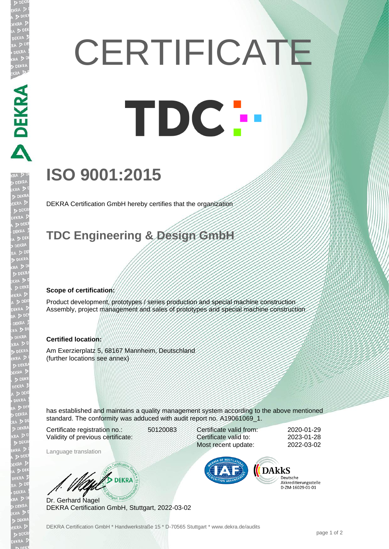# **CERTIFICATE** TDC -

## **ISO 9001:2015**

DEKRA Certification GmbH hereby certifies that the organization

### **TDC Engineering & Design GmbH**

#### **Scope of certification:**

**ANDREAD** 

EKR

Product development, prototypes / series production and special machine construction Assembly, project management and sales of prototypes and special machine construction

#### **Certified location:**

Am Exerzierplatz 5, 68167 Mannheim, Deutschland (further locations see annex)

has established and maintains a quality management system according to the above mentioned standard. The conformity was adduced with audit report no. A19061069 1.

Certificate registration no.: 50120083 Validity of previous certificate:

Language translation

Certificate valid from: 2020-01-29 Certificate valid to: 2023-01-28 Most recent update: 2022-03-02



Deutsche Akkreditierungsstelle 

WE DEKRA Dr. Gerhard Nagel

DEKRA Certification GmbH, Stuttgart, 2022-03-02